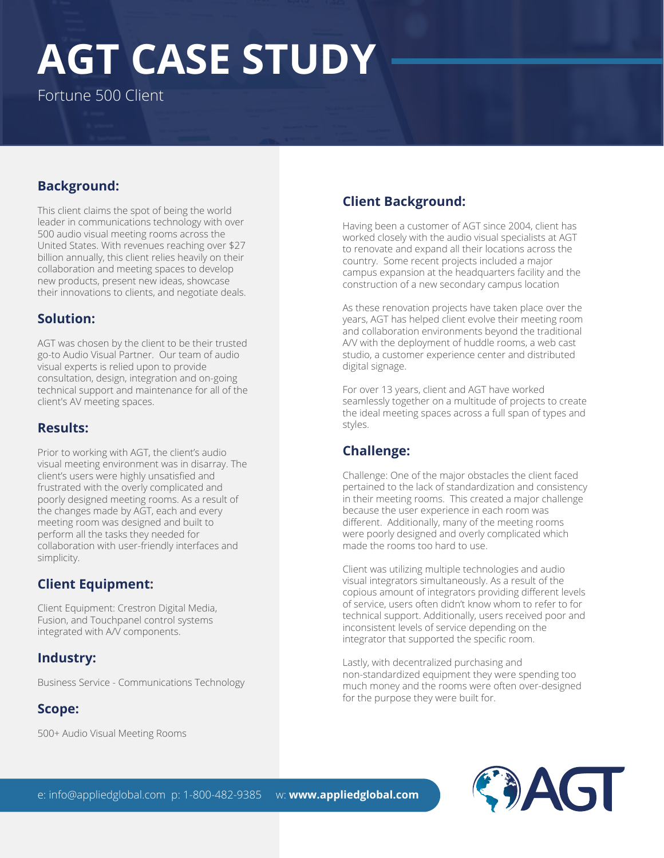# **AGT CASE STUDY**

Fortune 500 Client

#### **Background:**

This client claims the spot of being the world leader in communications technology with over 500 audio visual meeting rooms across the United States. With revenues reaching over \$27 billion annually, this client relies heavily on their collaboration and meeting spaces to develop new products, present new ideas, showcase their innovations to clients, and negotiate deals.

#### **Solution:**

AGT was chosen by the client to be their trusted go-to Audio Visual Partner. Our team of audio visual experts is relied upon to provide consultation, design, integration and on-going technical support and maintenance for all of the client's AV meeting spaces.

#### **Results:**

Prior to working with AGT, the client's audio visual meeting environment was in disarray. The client's users were highly unsatisfied and frustrated with the overly complicated and poorly designed meeting rooms. As a result of the changes made by AGT, each and every meeting room was designed and built to perform all the tasks they needed for collaboration with user-friendly interfaces and simplicity.

#### **Client Equipment:**

Client Equipment: Crestron Digital Media, Fusion, and Touchpanel control systems integrated with A/V components.

#### **Industry:**

Business Service - Communications Technology

#### **Scope:**

500+ Audio Visual Meeting Rooms

## **Client Background:**

Having been a customer of AGT since 2004, client has worked closely with the audio visual specialists at AGT to renovate and expand all their locations across the country. Some recent projects included a major campus expansion at the headquarters facility and the construction of a new secondary campus location

As these renovation projects have taken place over the years, AGT has helped client evolve their meeting room and collaboration environments beyond the traditional A/V with the deployment of huddle rooms, a web cast studio, a customer experience center and distributed digital signage.

For over 13 years, client and AGT have worked seamlessly together on a multitude of projects to create the ideal meeting spaces across a full span of types and styles.

### **Challenge:**

Challenge: One of the major obstacles the client faced pertained to the lack of standardization and consistency in their meeting rooms. This created a major challenge because the user experience in each room was different. Additionally, many of the meeting rooms were poorly designed and overly complicated which made the rooms too hard to use.

Client was utilizing multiple technologies and audio visual integrators simultaneously. As a result of the copious amount of integrators providing different levels of service, users often didn't know whom to refer to for technical support. Additionally, users received poor and inconsistent levels of service depending on the integrator that supported the specific room.

Lastly, with decentralized purchasing and non-standardized equipment they were spending too much money and the rooms were often over-designed for the purpose they were built for.